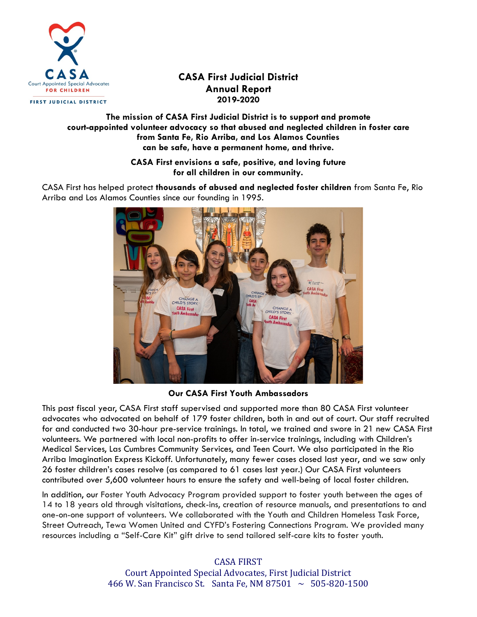

# **CASA First Judicial District Annual Report 2019-2020**

FIRST JUDICIAL DISTRICT

# **The mission of CASA First Judicial District is to support and promote court-appointed volunteer advocacy so that abused and neglected children in foster care from Santa Fe, Rio Arriba, and Los Alamos Counties can be safe, have a permanent home, and thrive.**

**CASA First envisions a safe, positive, and loving future for all children in our community.**

CASA First has helped protect **thousands of abused and neglected foster children** from Santa Fe, Rio Arriba and Los Alamos Counties since our founding in 1995.



# **Our CASA First Youth Ambassadors**

This past fiscal year, CASA First staff supervised and supported more than 80 CASA First volunteer advocates who advocated on behalf of 179 foster children, both in and out of court. Our staff recruited for and conducted two 30-hour pre-service trainings. In total, we trained and swore in 21 new CASA First volunteers. We partnered with local non-profits to offer in-service trainings, including with Children's Medical Services, Las Cumbres Community Services, and Teen Court. We also participated in the Rio Arriba Imagination Express Kickoff. Unfortunately, many fewer cases closed last year, and we saw only 26 foster children's cases resolve (as compared to 61 cases last year.) Our CASA First volunteers contributed over 5,600 volunteer hours to ensure the safety and well-being of local foster children.

In addition, our Foster Youth Advocacy Program provided support to foster youth between the ages of 14 to 18 years old through visitations, check-ins, creation of resource manuals, and presentations to and one-on-one support of volunteers. We collaborated with the Youth and Children Homeless Task Force, Street Outreach, Tewa Women United and CYFD's Fostering Connections Program. We provided many resources including a "Self-Care Kit" gift drive to send tailored self-care kits to foster youth.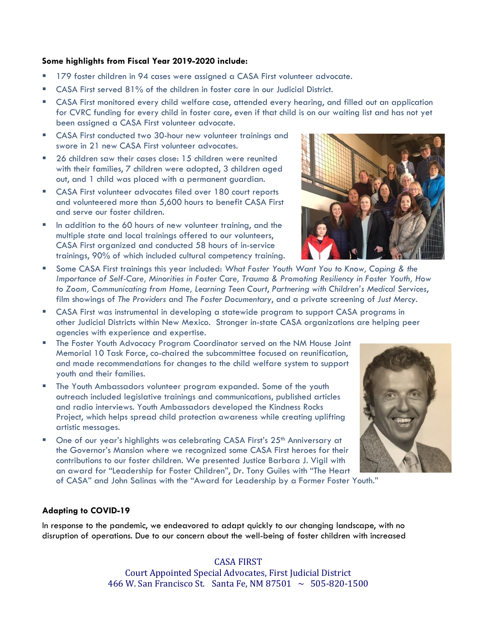### **Some highlights from Fiscal Year 2019-2020 include:**

- 179 foster children in 94 cases were assigned a CASA First volunteer advocate.
- CASA First served 81% of the children in foster care in our Judicial District.
- CASA First monitored every child welfare case, attended every hearing, and filled out an application for CVRC funding for every child in foster care, even if that child is on our waiting list and has not yet been assigned a CASA First volunteer advocate.
- CASA First conducted two 30-hour new volunteer trainings and swore in 21 new CASA First volunteer advocates.
- 26 children saw their cases close: 15 children were reunited with their families, 7 children were adopted, 3 children aged out, and 1 child was placed with a permanent guardian.
- CASA First volunteer advocates filed over 180 court reports and volunteered more than 5,600 hours to benefit CASA First and serve our foster children.
- In addition to the 60 hours of new volunteer training, and the multiple state and local trainings offered to our volunteers, CASA First organized and conducted 58 hours of in-service trainings, 90% of which included cultural competency training.



- Some CASA First trainings this year included: *What Foster Youth Want You to Know, Coping & the Importance of Self-Care, Minorities in Foster Care, Trauma & Promoting Resiliency in Foster Youth, How to Zoom, Communicating from Home, Learning Teen Court*, *Partnering with Children's Medical Services*, film showings of *The Providers* and *The Foster Documentary*, and a private screening of *Just Mercy.*
- CASA First was instrumental in developing a statewide program to support CASA programs in other Judicial Districts within New Mexico. Stronger in-state CASA organizations are helping peer agencies with experience and expertise.
- The Foster Youth Advocacy Program Coordinator served on the NM House Joint Memorial 10 Task Force, co-chaired the subcommittee focused on reunification, and made recommendations for changes to the child welfare system to support youth and their families.
- The Youth Ambassadors volunteer program expanded. Some of the youth outreach included legislative trainings and communications, published articles and radio interviews. Youth Ambassadors developed the Kindness Rocks Project, which helps spread child protection awareness while creating uplifting artistic messages.
- **Die of our year's highlights was celebrating CASA First's 25th Anniversary at** the Governor's Mansion where we recognized some CASA First heroes for their contributions to our foster children. We presented Justice Barbara J. Vigil with an award for "Leadership for Foster Children", Dr. Tony Guiles with "The Heart of CASA" and John Salinas with the "Award for Leadership by a Former Foster Youth."



### **Adapting to COVID-19**

In response to the pandemic, we endeavored to adapt quickly to our changing landscape, with no disruption of operations. Due to our concern about the well-being of foster children with increased

> Court Appointed Special Advocates, First Judicial District 466 W. San Francisco St. Santa Fe, NM 87501  $\sim 505 - 820 - 1500$

#### CASA FIRST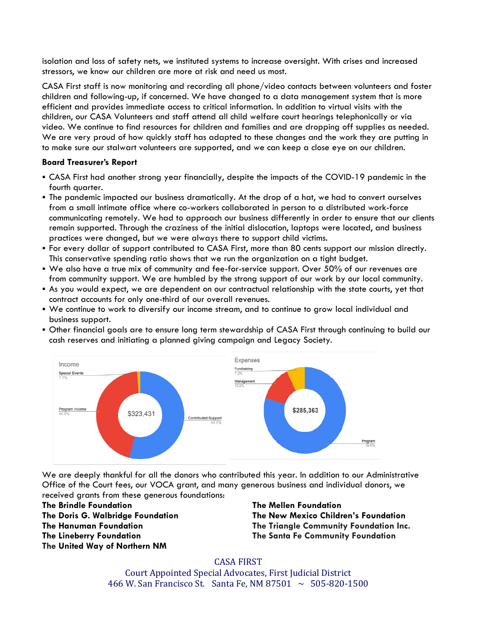isolation and loss of safety nets, we instituted systems to increase oversight. With crises and increased stressors, we know our children are more at risk and need us most.

CASA First staff is now monitoring and recording all phone/video contacts between volunteers and foster children and following-up, if concerned. We have changed to a data management system that is more efficient and provides immediate access to critical information. In addition to virtual visits with the children, our CASA Volunteers and staff attend all child welfare court hearings telephonically or via video. We continue to find resources for children and families and are dropping off supplies as needed. We are very proud of how quickly staff has adapted to these changes and the work they are putting in to make sure our stalwart volunteers are supported, and we can keep a close eye on our children.

### **Board Treasurer's Report**

- CASA First had another strong year financially, despite the impacts of the COVID-19 pandemic in the fourth quarter.
- The pandemic impacted our business dramatically. At the drop of a hat, we had to convert ourselves from a small intimate office where co-workers collaborated in person to a distributed work-force communicating remotely. We had to approach our business differently in order to ensure that our clients remain supported. Through the craziness of the initial dislocation, laptops were located, and business practices were changed, but we were always there to support child victims.
- For every dollar of support contributed to CASA First, more than 80 cents support our mission directly. This conservative spending ratio shows that we run the organization on a tight budget.
- We also have a true mix of community and fee-for-service support. Over 50% of our revenues are from community support. We are humbled by the strong support of our work by our local community.
- As you would expect, we are dependent on our contractual relationship with the state courts, yet that contract accounts for only one-third of our overall revenues.
- We continue to work to diversify our income stream, and to continue to grow local individual and business support.
- Other financial goals are to ensure long term stewardship of CASA First through continuing to build our cash reserves and initiating a planned giving campaign and Legacy Society.



We are deeply thankful for all the donors who contributed this year. In addition to our Administrative Office of the Court fees, our VOCA grant, and many generous business and individual donors, we received grants from these generous foundations:

**The Brindle Foundation The Doris G. Walbridge Foundation The Hanuman Foundation The Lineberry Foundation The United Way of Northern NM**

# **The Mellen Foundation The New Mexico Children's Foundation The Triangle Community Foundation Inc. The Santa Fe Community Foundation**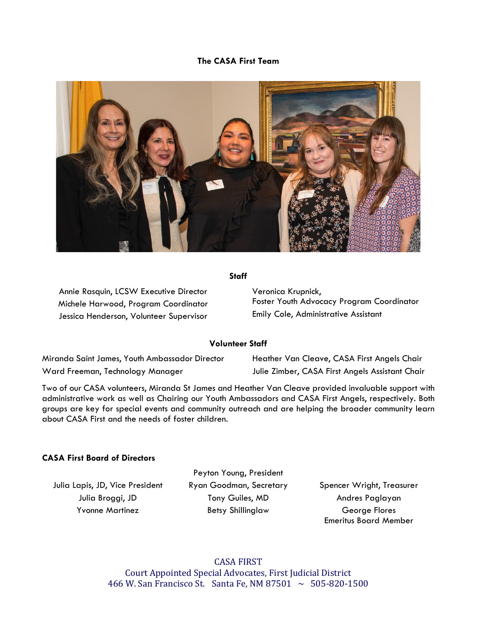## **The CASA First Team**



### **Staff**

Annie Rasquin, LCSW Executive Director Michele Harwood, Program Coordinator Jessica Henderson, Volunteer Supervisor

Veronica Krupnick, Foster Youth Advocacy Program Coordinator Emily Cole, Administrative Assistant

#### **Volunteer Staff**

Miranda Saint James, Youth Ambassador Director Ward Freeman, Technology Manager

Heather Van Cleave, CASA First Angels Chair Julie Zimber, CASA First Angels Assistant Chair

Two of our CASA volunteers, Miranda St James and Heather Van Cleave provided invaluable support with administrative work as well as Chairing our Youth Ambassadors and CASA First Angels, respectively. Both groups are key for special events and community outreach and are helping the broader community learn about CASA First and the needs of foster children.

### **CASA First Board of Directors**

Peyton Young, President Julia Lapis, JD, Vice President Ryan Goodman, Secretary Spencer Wright, Treasurer Julia Broggi, JD Tony Guiles, MD Andres Paglayan Yvonne Martinez **Betsy Shillinglaw** George Flores

Emeritus Board Member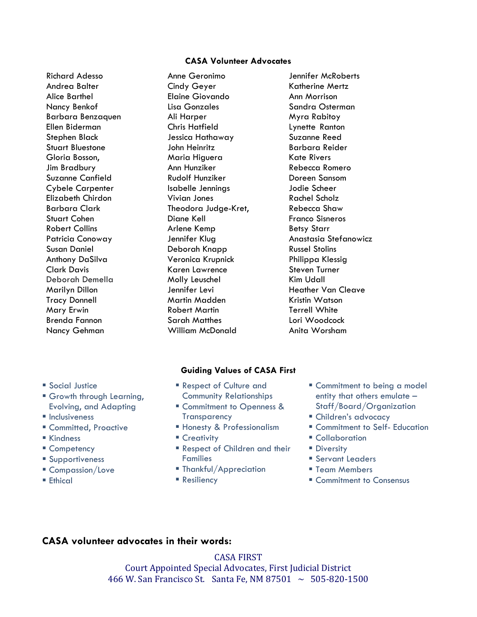### **CASA Volunteer Advocates**

Richard Adesso Andrea Balter Alice Barthel Nancy Benkof Barbara Benzaquen Ellen Biderman Stephen Black Stuart Bluestone Gloria Bosson, Jim Bradbury Suzanne Canfield Cybele Carpenter Elizabeth Chirdon Barbara Clark Stuart Cohen Robert Collins Patricia Conoway Susan Daniel Anthony DaSilva Clark Davis Deborah Demella Marilyn Dillon Tracy Donnell Mary Erwin Brenda Fannon Nancy Gehman

Anne Geronimo Cindy Geyer Elaine Giovando Lisa Gonzales Ali Harper Chris Hatfield Jessica Hathaway John Heinritz Maria Higuera Ann Hunziker Rudolf Hunziker Isabelle Jennings Vivian Jones Theodora Judge-Kret, Diane Kell Arlene Kemp Jennifer Klug Deborah Knapp Veronica Krupnick Karen Lawrence Molly Leuschel Jennifer Levi Martin Madden Robert Martin Sarah Matthes William McDonald

Jennifer McRoberts Katherine Mertz Ann Morrison Sandra Osterman Myra Rabitoy Lynette Ranton Suzanne Reed Barbara Reider Kate Rivers Rebecca Romero Doreen Sansom Jodie Scheer Rachel Scholz Rebecca Shaw Franco Sisneros Betsy Starr Anastasia Stefanowicz Russel Stolins Philippa Klessig Steven Turner Kim Udall Heather Van Cleave Kristin Watson Terrell White Lori Woodcock Anita Worsham

### **Guiding Values of CASA First**

- Respect of Culture and Community Relationships
	- **Commitment to Openness & Transparency**
	- Honesty & Professionalism
- Creativity
- **Respect of Children and their** Families
- Thankful/Appreciation
- Resiliency
- **Commitment to being a model** entity that others emulate – Staff/Board/Organization
- Children's advocacy
- Commitment to Self- Education
- Collaboration
- **Diversity**
- **Servant Leaders**
- **Team Members**
- Commitment to Consensus

# **CASA volunteer advocates in their words:**

CASA FIRST Court Appointed Special Advocates, First Judicial District 466 W. San Francisco St. Santa Fe, NM 87501  $\sim 505 - 820 - 1500$ 

## **Social Justice**

- Growth through Learning, Evolving, and Adapting
- **Inclusiveness**
- Committed, Proactive
- Kindness
- Competency
- Supportiveness
- Compassion/Love
- Ethical